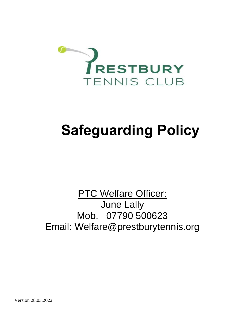

# **Safeguarding Policy**

## **PTC Welfare Officer:** June Lally Mob. 07790 500623 Email: Welfare@prestburytennis.org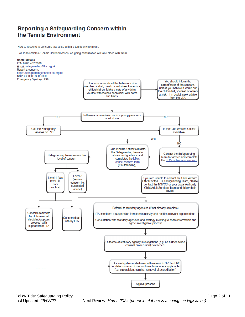### **Reporting a Safeguarding Concern within** the Tennis Environment

How to respond to concerns that arise within a tennis environment.

For Tennis Wales / Tennis Scotland cases, on-going consultation will take place with them.

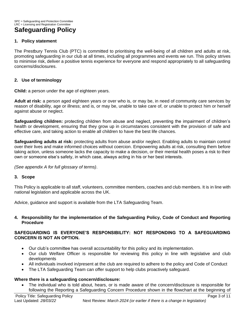#### **1. Policy statement**

The Prestbury Tennis Club (PTC) is committed to prioritising the well-being of all children and adults at risk, promoting safeguarding in our club at all times, including all programmes and events we run. This policy strives to minimise risk, deliver a positive tennis experience for everyone and respond appropriately to all safeguarding concerns/disclosures.

#### **2. Use of terminology**

**Child:** a person under the age of eighteen years.

**Adult at risk:** a person aged eighteen years or over who is, or may be, in need of community care services by reason of disability, age or illness; and is, or may be, unable to take care of, or unable to protect him or herself against abuse or neglect.

**Safeguarding children:** protecting children from abuse and neglect, preventing the impairment of children's health or development, ensuring that they grow up in circumstances consistent with the provision of safe and effective care, and taking action to enable all children to have the best life chances.

**Safeguarding adults at risk:** protecting adults from abuse and/or neglect. Enabling adults to maintain control over their lives and make informed choices without coercion. Empowering adults at risk, consulting them before taking action, unless someone lacks the capacity to make a decision, or their mental health poses a risk to their own or someone else's safety, in which case, always acting in his or her best interests.

*(See appendix A for full glossary of terms)*.

#### **3. Scope**

This Policy is applicable to all staff, volunteers, committee members, coaches and club members. It is in line with national legislation and applicable across the UK.

Advice, guidance and support is available from the LTA Safeguarding Team.

#### **4. Responsibility for the implementation of the Safeguarding Policy, Code of Conduct and Reporting Procedure**

#### **SAFEGUARDING IS EVERYONE'S RESPONSIBILITY: NOT RESPONDING TO A SAFEGUARDING CONCERN IS NOT AN OPTION.**

- Our club's committee has overall accountability for this policy and its implementation.
- Our club Welfare Officer is responsible for reviewing this policy in line with legislative and club developments
- All individuals involved in/present at the club are required to adhere to the policy and Code of Conduct
- The LTA Safeguarding Team can offer support to help clubs proactively safeguard.

#### **Where there is a safeguarding concern/disclosure:**

• The individual who is told about, hears, or is made aware of the concern/disclosure is responsible for following the Reporting a Safeguarding Concern Procedure shown in the flowchart at the beginning of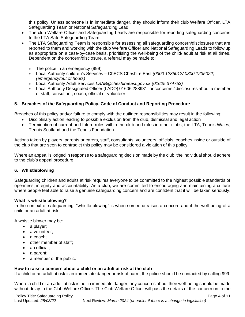this policy. Unless someone is in immediate danger, they should inform their club Welfare Officer, LTA Safeguarding Team or National Safeguarding Lead.

- The club Welfare Officer and Safeguarding Leads are responsible for reporting safeguarding concerns to the LTA Safe Safeguarding Team.
- The LTA Safeguarding Team is responsible for assessing all safeguarding concern/disclosures that are reported to them and working with the club Welfare Officer and National Safeguarding Leads to follow up as appropriate on a case-by-case basis, prioritising the well-being of the child/ adult at risk at all times. Dependent on the concern/disclosure, a referral may be made to:
	- o The police in an emergency (999)
	- o Local Authority children's Services ChECS Cheshire East *(0300 1235012/ 0300 1235022) (emergency/out of hours)*
	- o Local Authority Adult Services *LSAB@cheshireeast.gov.uk (01625 374753)*
	- $\circ$  Local Authority Designated Officer (LADO) 01606 288931 for concerns / disclosures about a member of staff, consultant, coach, official or volunteer.

#### **5. Breaches of the Safeguarding Policy, Code of Conduct and Reporting Procedure**

Breaches of this policy and/or failure to comply with the outlined responsibilities may result in the following:

- Disciplinary action leading to possible exclusion from the club, dismissal and legal action
- Termination of current and future roles within the club and roles in other clubs, the LTA, Tennis Wales, Tennis Scotland and the Tennis Foundation*.*

Actions taken by players, parents or carers, staff, consultants, volunteers, officials, coaches inside or outside of the club that are seen to contradict this policy may be considered a violation of this policy.

Where an appeal is lodged in response to a safeguarding decision made by the club, the individual should adhere to the club's appeal procedure.

#### **6. Whistleblowing**

Safeguarding children and adults at risk requires everyone to be committed to the highest possible standards of openness, integrity and accountability. As a club, we are committed to encouraging and maintaining a culture where people feel able to raise a genuine safeguarding concern and are confident that it will be taken seriously.

#### **What is whistle blowing?**

In the context of safeguarding, "whistle blowing" is when someone raises a concern about the well-being of a child or an adult at risk.

A whistle blower may be:

- a player;
- a volunteer:
- a coach;
- other member of staff;
- an official:
- a parent;
- a member of the public.

#### **How to raise a concern about a child or an adult at risk at the club**

If a child or an adult at risk is in immediate danger or risk of harm, the police should be contacted by calling 999.

Where a child or an adult at risk is not in immediate danger, any concerns about their well-being should be made without delay to the Club Welfare Officer. The Club Welfare Officer will pass the details of the concern on to the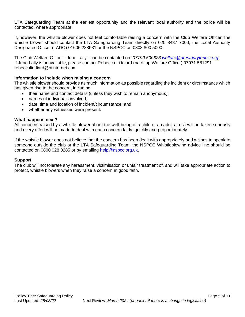LTA Safeguarding Team at the earliest opportunity and the relevant local authority and the police will be contacted, where appropriate.

If, however, the whistle blower does not feel comfortable raising a concern with the Club Welfare Officer, the whistle blower should contact the LTA Safeguarding Team directly on 020 8487 7000, the Local Authority Designated Officer (LADO) 01606 288931 or the NSPCC on 0808 800 5000.

The Club Welfare Officer - June Lally - can be contacted on: *07790 50062[3 welfare@prestburytennis.org](mailto:welfare@prestburytennis.org)* If June Lally is unavailable, please contact Rebecca Liddiard (back-up Welfare Officer) 07971 581291 rebeccaliddiard@btinternet.com

#### **Information to include when raising a concern**

The whistle blower should provide as much information as possible regarding the incident or circumstance which has given rise to the concern, including:

- their name and contact details (unless they wish to remain anonymous);
- names of individuals involved;
- date, time and location of incident/circumstance; and
- whether any witnesses were present.

#### **What happens next?**

All concerns raised by a whistle blower about the well-being of a child or an adult at risk will be taken seriously and every effort will be made to deal with each concern fairly, quickly and proportionately.

If the whistle blower does not believe that the concern has been dealt with appropriately and wishes to speak to someone outside the club or the LTA Safeguarding Team, the NSPCC Whistleblowing advice line should be contacted on 0800 028 0285 or by emailing [help@nspcc.org.uk.](mailto:help@nspcc.org.uk)

#### **Support**

The club will not tolerate any harassment, victimisation or unfair treatment of, and will take appropriate action to protect, whistle blowers when they raise a concern in good faith.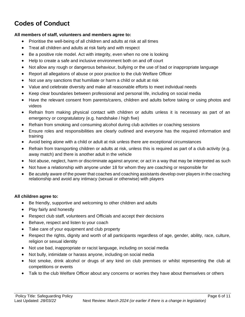## **Codes of Conduct**

#### **All members of staff, volunteers and members agree to:**

- Prioritise the well-being of all children and adults at risk at all times
- Treat all children and adults at risk fairly and with respect
- Be a positive role model. Act with integrity, even when no one is looking
- Help to create a safe and inclusive environment both on and off court
- Not allow any rough or dangerous behaviour, bullying or the use of bad or inappropriate language
- Report all allegations of abuse or poor practice to the club Welfare Officer
- Not use any sanctions that humiliate or harm a child or adult at risk
- Value and celebrate diversity and make all reasonable efforts to meet individual needs
- Keep clear boundaries between professional and personal life, including on social media
- Have the relevant consent from parents/carers, children and adults before taking or using photos and videos
- Refrain from making physical contact with children or adults unless it is necessary as part of an emergency or congratulatory (e.g. handshake / high five)
- Refrain from smoking and consuming alcohol during club activities or coaching sessions
- Ensure roles and responsibilities are clearly outlined and everyone has the required information and training
- Avoid being alone with a child or adult at risk unless there are exceptional circumstances
- Refrain from transporting children or adults at risk, unless this is required as part of a club activity (e.g. away match) and there is another adult in the vehicle
- Not abuse, neglect, harm or discriminate against anyone; or act in a way that may be interpreted as such
- Not have a relationship with anyone under 18 for whom they are coaching or responsible for
- Be acutely aware of the power that coaches and coaching assistants develop over players in the coaching relationship and avoid any intimacy (sexual or otherwise) with players

#### **All children agree to:**

- Be friendly, supportive and welcoming to other children and adults
- Play fairly and honestly
- Respect club staff, volunteers and Officials and accept their decisions
- Behave, respect and listen to your coach
- Take care of your equipment and club property
- Respect the rights, dignity and worth of all participants regardless of age, gender, ability, race, culture, religion or sexual identity
- Not use bad, inappropriate or racist language, including on social media
- Not bully, intimidate or harass anyone, including on social media
- Not smoke, drink alcohol or drugs of any kind on club premises or whilst representing the club at competitions or events
- Talk to the club Welfare Officer about any concerns or worries they have about themselves or others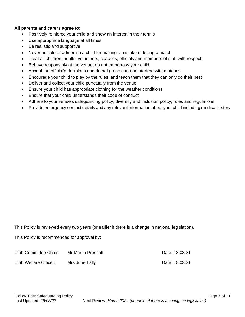#### **All parents and carers agree to:**

- Positively reinforce your child and show an interest in their tennis
- Use appropriate language at all times
- Be realistic and supportive
- Never ridicule or admonish a child for making a mistake or losing a match
- Treat all children, adults, volunteers, coaches, officials and members of staff with respect
- Behave responsibly at the venue; do not embarrass your child
- Accept the official's decisions and do not go on court or interfere with matches
- Encourage your child to play by the rules, and teach them that they can only do their best
- Deliver and collect your child punctually from the venue
- Ensure your child has appropriate clothing for the weather conditions
- Ensure that your child understands their code of conduct
- Adhere to your venue's safeguarding policy, diversity and inclusion policy, rules and regulations
- Provide emergency contact details and any relevant information about your child including medical history

This Policy is reviewed every two years (or earlier if there is a change in national legislation).

This Policy is recommended for approval by:

| Club Committee Chair: | Mr Martin Prescott | Date: 18.03.21 |
|-----------------------|--------------------|----------------|
| Club Welfare Officer: | Mrs June Lally     | Date: 18.03.21 |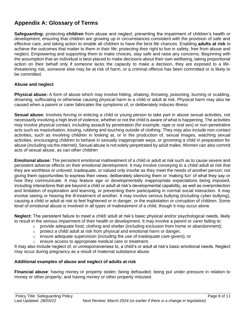## **Appendix A: Glossary of Terms**

**Safeguarding:** protecting **children** from abuse and neglect, preventing the impairment of children's health or development, ensuring that children are growing up in circumstances consistent with the provision of safe and effective care, and taking action to enable all children to have the best life chances. Enabling **adults at risk** to achieve the outcomes that matter to them in their life; protecting their right to live in safety, free from abuse and neglect. Empowering and supporting them to make choices, stay safe and raise any concerns. Beginning with the assumption that an individual is best-placed to make decisions about their own wellbeing, taking proportional action on their behalf only if someone lacks the capacity to make a decision, they are exposed to a lifethreatening risk, someone else may be at risk of harm, or a criminal offence has been committed or is likely to be committed.

#### **Abuse and neglect**

**Physical abuse:** A form of abuse which may involve hitting, shaking, throwing, poisoning, burning or scalding, drowning, suffocating or otherwise causing physical harm to a child or adult at risk. Physical harm may also be caused when a parent or carer fabricates the symptoms of, or deliberately induces illness

**Sexual abuse:** Involves forcing or enticing a child or young person to take part in abuse sexual activities, not necessarily involving a high level of violence, whether or not the child is aware of what is happening. The activities may involve physical contact, including assault by penetration (for example, rape or oral sex) or non-penetrative acts such as masturbation, kissing, rubbing and touching outside of clothing. They may also include non-contact activities, such as involving children in looking at, or in the production of, sexual images, watching sexual activities, encouraging children to behave in sexually inappropriate ways, or grooming a child in preparation for abuse (including via the internet). Sexual abuse is not solely perpetrated by adult males. Women can also commit acts of sexual abuse, as can other children

**Emotional abuse:** The persistent emotional maltreatment of a child or adult at risk such as to cause severe and persistent adverse effects on their emotional development. It may involve conveying to a child/ adult at risk that they are worthless or unloved, inadequate, or valued only insofar as they meet the needs of another person; not giving them opportunities to express their views; deliberately silencing them or 'making fun' of what they say or how they communicate. It may feature age or developmentally inappropriate expectations being imposed, including interactions that are beyond a child or adult at risk's developmental capability, as well as overprotection and limitation of exploration and learning, or preventing them participating in normal social interaction. It may involve seeing or hearing the ill-treatment of another. It may involve serious bullying (including cyber bullying), causing a child or adult at risk to feel frightened or in danger, or the exploitation or corruption of children. Some level of emotional abuse is involved in all types of maltreatment of a child, though it may occur alone.

**Neglect:** The persistent failure to meet a child/ adult at risk's basic physical and/or psychological needs, likely to result in the serious impairment of their health or development. It may involve a parent or carer failing to:

- $\circ$  provide adequate food, clothing and shelter (including exclusion from home or abandonment);
- o protect a child/ adult at risk from physical and emotional harm or danger;
- $\circ$  ensure adequate supervision (including the use of inadequate care-givers); or
- o ensure access to appropriate medical care or treatment.

It may also include neglect of, or unresponsiveness to, a child's or adult at risk's basic emotional needs. Neglect may occur during pregnancy as a result of maternal substance abuse.

#### **Additional examples of abuse and neglect of adults at risk**

**Financial abuse**: having money or property stolen; being defrauded; being put under pressure in relation to money or other property; and having money or other property misused.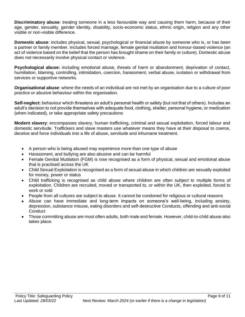**Discriminatory abuse**: treating someone in a less favourable way and causing them harm, because of their age, gender, sexuality, gender identity, disability, socio-economic status, ethnic origin, religion and any other visible or non-visible difference.

**Domestic abuse**: includes physical, sexual, psychological or financial abuse by someone who is, or has been a partner or family member. Includes forced marriage, female genital mutilation and honour-based violence (an act of violence based on the belief that the person has brought shame on their family or culture). Domestic abuse does not necessarily involve physical contact or violence.

**Psychological abuse:** including emotional abuse, threats of harm or abandonment, deprivation of contact, humiliation, blaming, controlling, intimidation, coercion, harassment, verbal abuse, isolation or withdrawal from services or supportive networks.

**Organisational abuse**: where the needs of an individual are not met by an organisation due to a culture of poor practice or abusive behaviour within the organisation.

**Self-neglect:** behaviour which threatens an adult's personal health or safety (but not that of others). Includes an adult's decision to not provide themselves with adequate food, clothing, shelter, personal hygiene, or medication (when indicated), or take appropriate safety precautions

**Modern slavery**: encompasses slavery, human trafficking, criminal and sexual exploitation, forced labour and domestic servitude. Traffickers and slave masters use whatever means they have at their disposal to coerce, deceive and force individuals into a life of abuse, servitude and inhumane treatment.

- A person who is being abused may experience more than one type of abuse
- Harassment, and bullying are also abusive and can be harmful
- Female Genital Mutilation (FGM) is now recognised as a form of physical, sexual and emotional abuse that is practised across the UK
- Child Sexual Exploitation is recognised as a form of sexual abuse in which children are sexually exploited for money, power or status
- Child trafficking is recognised as child abuse where children are often subject to multiple forms of exploitation. Children are recruited, moved or transported to, or within the UK, then exploited, forced to work or sold
- People from all cultures are subject to abuse. It cannot be condoned for religious or cultural reasons
- Abuse can have immediate and long-term impacts on someone's well-being, including anxiety, depression, substance misuse, eating disorders and self-destructive Conducts, offending and anti-social **Conduct**
- Those committing abuse are most often adults, both male and female. However, child-to-child abuse also takes place.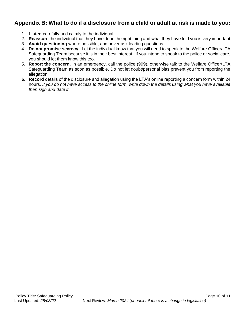## **Appendix B: What to do if a disclosure from a child or adult at risk is made to you:**

- 1. **Listen** carefully and calmly to the individual
- 2. **Reassure** the individual that they have done the right thing and what they have told you is very important
- 3. **Avoid questioning** where possible, and never ask leading questions
- 4. **Do not promise secrecy**. Let the individual know that you will need to speak to the Welfare Officer/LTA Safeguarding Team because it is in their best interest. If you intend to speak to the police or social care, you should let them know this too.
- 5. **Report the concern.** In an emergency, call the police (999), otherwise talk to the Welfare Officer/LTA Safeguarding Team as soon as possible. Do not let doubt/personal bias prevent you from reporting the allegation
- **6. Record** details of the disclosure and allegation using the LTA's online reporting a concern form within 24 hours*. If you do not have access to the online form, write down the details using what you have available then sign and date it.*